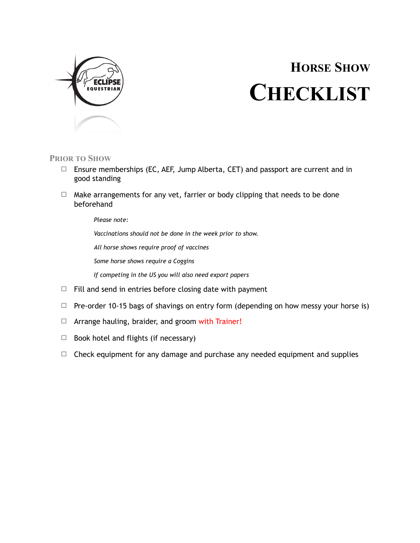

## **HORSE SHOW CHECKLIST**

## **PRIOR TO SHOW**

- $\Box$  Ensure memberships (EC, AEF, Jump Alberta, CET) and passport are current and in good standing
- $\Box$  Make arrangements for any vet, farrier or body clipping that needs to be done beforehand

*Please note:* 

*Vaccinations should not be done in the week prior to show.* 

*All horse shows require proof of vaccines* 

*Some horse shows require a Coggins* 

*If competing in the US you will also need export papers* 

- $\Box$  Fill and send in entries before closing date with payment
- $\Box$  Pre-order 10-15 bags of shavings on entry form (depending on how messy your horse is)
- □ Arrange hauling, braider, and groom with Trainer!
- $\Box$  Book hotel and flights (if necessary)
- $\Box$  Check equipment for any damage and purchase any needed equipment and supplies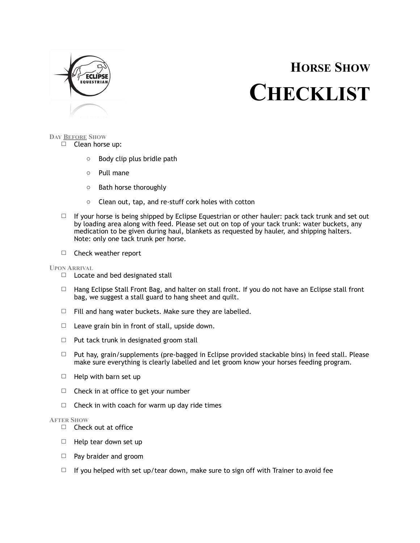

## **HORSE SHOW CHECKLIST**

#### **DAY BEFORE SHOW** □ Clean horse up:

- o Body clip plus bridle path
- o Pull mane
- o Bath horse thoroughly
- o Clean out, tap, and re-stuff cork holes with cotton
- $\Box$  If your horse is being shipped by Eclipse Equestrian or other hauler: pack tack trunk and set out by loading area along with feed. Please set out on top of your tack trunk: water buckets, any medication to be given during haul, blankets as requested by hauler, and shipping halters. Note: only one tack trunk per horse.
- □ Check weather report

### **UPON ARRIVAL**

- □ Locate and bed designated stall
- $\Box$  Hang Eclipse Stall Front Bag, and halter on stall front. If you do not have an Eclipse stall front bag, we suggest a stall guard to hang sheet and quilt.
- $\Box$  Fill and hang water buckets. Make sure they are labelled.
- $\Box$  Leave grain bin in front of stall, upside down.
- $\Box$  Put tack trunk in designated groom stall
- $\Box$  Put hay, grain/supplements (pre-bagged in Eclipse provided stackable bins) in feed stall. Please make sure everything is clearly labelled and let groom know your horses feeding program.
- $\Box$  Help with barn set up
- $\Box$  Check in at office to get your number
- $\Box$  Check in with coach for warm up day ride times

### **AFTER SHOW**

- □ Check out at office
- $\Box$  Help tear down set up
- □ Pay braider and groom
- $\Box$  If you helped with set up/tear down, make sure to sign off with Trainer to avoid fee